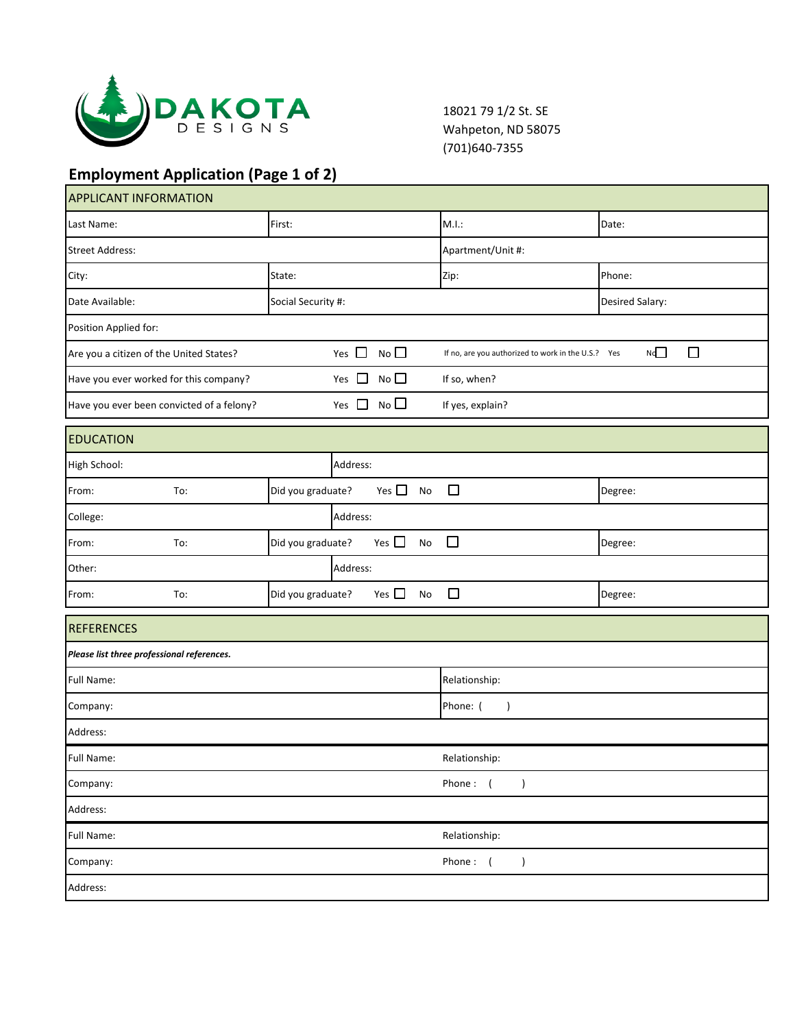

18021 79 1/2 St. SE Wahpeton, ND 58075 (701)640-7355

## **Employment Application (Page 1 of 2)**

| <b>APPLICANT INFORMATION</b>               |     |                   |                              |                 |                                      |                                                    |                 |  |
|--------------------------------------------|-----|-------------------|------------------------------|-----------------|--------------------------------------|----------------------------------------------------|-----------------|--|
| Last Name:                                 |     | First:            |                              |                 |                                      | M.I.:                                              | Date:           |  |
| <b>Street Address:</b>                     |     |                   |                              |                 | Apartment/Unit #:                    |                                                    |                 |  |
| City:                                      |     | State:            |                              |                 |                                      | Zip:                                               | Phone:          |  |
| Date Available:<br>Social Security #:      |     |                   |                              |                 |                                      |                                                    | Desired Salary: |  |
| Position Applied for:                      |     |                   |                              |                 |                                      |                                                    |                 |  |
| Are you a citizen of the United States?    |     |                   | Yes $\Box$                   | $No$ $\square$  |                                      | If no, are you authorized to work in the U.S.? Yes | Nd<br>□         |  |
| Have you ever worked for this company?     |     |                   | $No$ $\square$<br>Yes $\Box$ |                 |                                      | If so, when?                                       |                 |  |
| Have you ever been convicted of a felony?  |     |                   | Yes $\Box$                   | No <sup>2</sup> |                                      | If yes, explain?                                   |                 |  |
| <b>EDUCATION</b>                           |     |                   |                              |                 |                                      |                                                    |                 |  |
| High School:                               |     |                   | Address:                     |                 |                                      |                                                    |                 |  |
| From:                                      | To: | Did you graduate? |                              | Yes $\square$   | No                                   | $\Box$                                             | Degree:         |  |
| College:                                   |     |                   | Address:                     |                 |                                      |                                                    |                 |  |
| From:                                      | To: | Did you graduate? |                              | Yes $\square$   | No                                   | $\Box$                                             | Degree:         |  |
| Other:                                     |     |                   | Address:                     |                 |                                      |                                                    |                 |  |
| From:                                      | To: | Did you graduate? |                              | Yes $\Box$      | <b>No</b>                            | $\Box$                                             | Degree:         |  |
| <b>REFERENCES</b>                          |     |                   |                              |                 |                                      |                                                    |                 |  |
| Please list three professional references. |     |                   |                              |                 |                                      |                                                    |                 |  |
| Full Name:                                 |     |                   |                              |                 | Relationship:                        |                                                    |                 |  |
| Company:                                   |     |                   |                              |                 | Phone: (<br>$\overline{\phantom{a}}$ |                                                    |                 |  |
| Address:                                   |     |                   |                              |                 |                                      |                                                    |                 |  |
| Full Name:                                 |     |                   |                              |                 | Relationship:                        |                                                    |                 |  |
| Company:                                   |     |                   |                              |                 | Phone: (<br>$\lambda$                |                                                    |                 |  |
| Address:                                   |     |                   |                              |                 |                                      |                                                    |                 |  |
| <b>Full Name:</b>                          |     |                   |                              |                 | Relationship:                        |                                                    |                 |  |
| Company:                                   |     |                   |                              |                 | Phone:<br>$\sqrt{2}$<br>$\lambda$    |                                                    |                 |  |
| Address:                                   |     |                   |                              |                 |                                      |                                                    |                 |  |